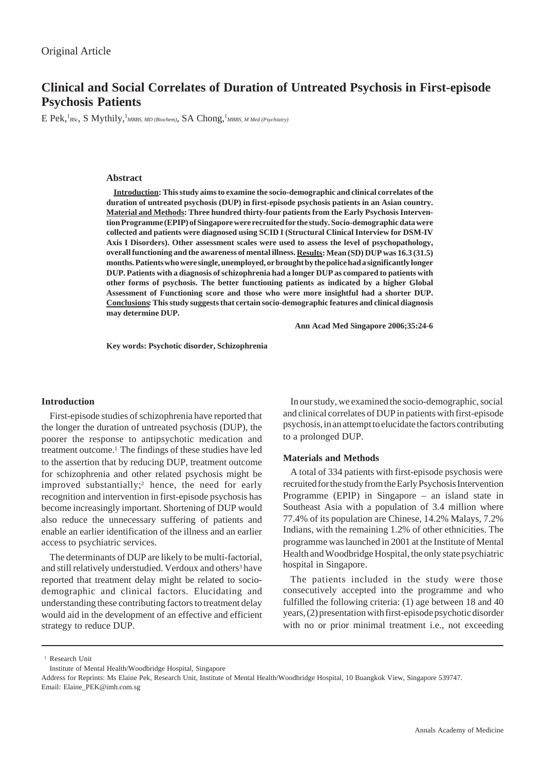# **Clinical and Social Correlates of Duration of Untreated Psychosis in First-episode Psychosis Patients**

E Pek, <sup>1</sup>BSc, S Mythily, <sup>1</sup>MBBS, MD (Biochem), SA Chong, <sup>1</sup>MBBS, M Med (Psychiatry)

### **Abstract**

**Introduction: This study aims to examine the socio-demographic and clinical correlates of the duration of untreated psychosis (DUP) in first-episode psychosis patients in an Asian country. Material and Methods: Three hundred thirty-four patients from the Early Psychosis Intervention Programme (EPIP) of Singapore were recruited for the study. Socio-demographic data were collected and patients were diagnosed using SCID I (Structural Clinical Interview for DSM-IV Axis I Disorders). Other assessment scales were used to assess the level of psychopathology, overall functioning and the awareness of mental illness. Results: Mean (SD) DUP was 16.3 (31.5) months. Patients who were single, unemployed, or brought by the police had a significantly longer DUP. Patients with a diagnosis of schizophrenia had a longer DUP as compared to patients with other forms of psychosis. The better functioning patients as indicated by a higher Global Assessment of Functioning score and those who were more insightful had a shorter DUP. Conclusions: This study suggests that certain socio-demographic features and clinical diagnosis may determine DUP.**

**Ann Acad Med Singapore 2006;35:24-6**

**Key words: Psychotic disorder, Schizophrenia**

### **Introduction**

First-episode studies of schizophrenia have reported that the longer the duration of untreated psychosis (DUP), the poorer the response to antipsychotic medication and treatment outcome.1 The findings of these studies have led to the assertion that by reducing DUP, treatment outcome for schizophrenia and other related psychosis might be improved substantially;<sup>2</sup> hence, the need for early recognition and intervention in first-episode psychosis has become increasingly important. Shortening of DUP would also reduce the unnecessary suffering of patients and enable an earlier identification of the illness and an earlier access to psychiatric services.

The determinants of DUP are likely to be multi-factorial, and still relatively understudied. Verdoux and others<sup>3</sup> have reported that treatment delay might be related to sociodemographic and clinical factors. Elucidating and understanding these contributing factors to treatment delay would aid in the development of an effective and efficient strategy to reduce DUP.

In our study, we examined the socio-demographic, social and clinical correlates of DUP in patients with first-episode psychosis, in an attempt to elucidate the factors contributing to a prolonged DUP.

### **Materials and Methods**

A total of 334 patients with first-episode psychosis were recruited for the study from the Early Psychosis Intervention Programme (EPIP) in Singapore – an island state in Southeast Asia with a population of 3.4 million where 77.4% of its population are Chinese, 14.2% Malays, 7.2% Indians, with the remaining 1.2% of other ethnicities. The programme was launched in 2001 at the Institute of Mental Health and Woodbridge Hospital, the only state psychiatric hospital in Singapore.

The patients included in the study were those consecutively accepted into the programme and who fulfilled the following criteria: (1) age between 18 and 40 years, (2) presentation with first-episode psychotic disorder with no or prior minimal treatment i.e., not exceeding

<sup>1</sup> Research Unit

Address for Reprints: Ms Elaine Pek, Research Unit, Institute of Mental Health/Woodbridge Hospital, 10 Buangkok View, Singapore 539747. Email: Elaine\_PEK@imh.com.sg

Institute of Mental Health/Woodbridge Hospital, Singapore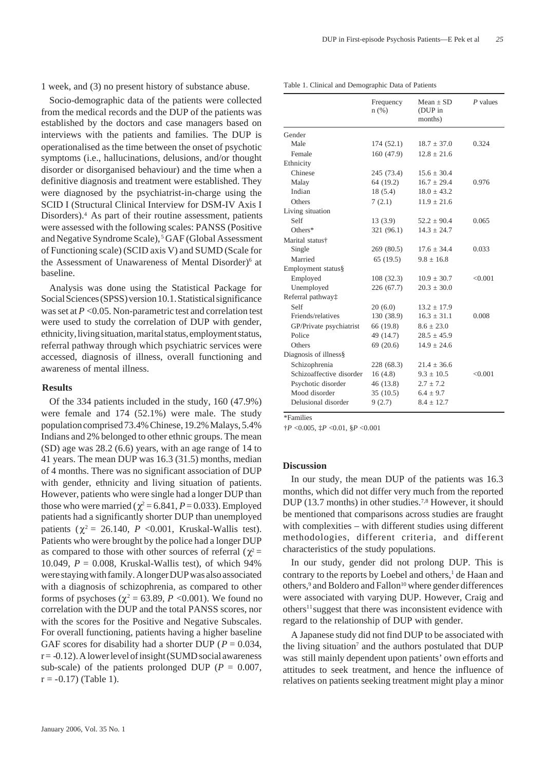1 week, and (3) no present history of substance abuse.

Socio-demographic data of the patients were collected from the medical records and the DUP of the patients was established by the doctors and case managers based on interviews with the patients and families. The DUP is operationalised as the time between the onset of psychotic symptoms (i.e., hallucinations, delusions, and/or thought disorder or disorganised behaviour) and the time when a definitive diagnosis and treatment were established. They were diagnosed by the psychiatrist-in-charge using the SCID I (Structural Clinical Interview for DSM-IV Axis I Disorders).4 As part of their routine assessment, patients were assessed with the following scales: PANSS (Positive and Negative Syndrome Scale), 5 GAF (Global Assessment of Functioning scale) (SCID axis V) and SUMD (Scale for the Assessment of Unawareness of Mental Disorder)<sup>6</sup> at baseline.

Analysis was done using the Statistical Package for Social Sciences (SPSS) version 10.1. Statistical significance was set at *P* <0.05. Non-parametric test and correlation test were used to study the correlation of DUP with gender, ethnicity, living situation, marital status, employment status, referral pathway through which psychiatric services were accessed, diagnosis of illness, overall functioning and awareness of mental illness.

## **Results**

Of the 334 patients included in the study, 160 (47.9%) were female and 174 (52.1%) were male. The study population comprised 73.4% Chinese, 19.2% Malays, 5.4% Indians and 2% belonged to other ethnic groups. The mean (SD) age was 28.2 (6.6) years, with an age range of 14 to 41 years. The mean DUP was 16.3 (31.5) months, median of 4 months. There was no significant association of DUP with gender, ethnicity and living situation of patients. However, patients who were single had a longer DUP than those who were married ( $\chi^2$  = 6.841, *P* = 0.033). Employed patients had a significantly shorter DUP than unemployed patients ( $\chi^2$  = 26.140, *P* <0.001, Kruskal-Wallis test). Patients who were brought by the police had a longer DUP as compared to those with other sources of referral ( $\chi^2$  = 10.049,  $P = 0.008$ , Kruskal-Wallis test), of which 94% were staying with family. A longer DUP was also associated with a diagnosis of schizophrenia, as compared to other forms of psychoses ( $\chi^2$  = 63.89, *P* < 0.001). We found no correlation with the DUP and the total PANSS scores, nor with the scores for the Positive and Negative Subscales. For overall functioning, patients having a higher baseline GAF scores for disability had a shorter DUP ( $P = 0.034$ ,  $r = -0.12$ ). A lower level of insight (SUMD social awareness sub-scale) of the patients prolonged DUP ( $P = 0.007$ ,  $r = -0.17$ ) (Table 1).

|  |  |  |  |  | Table 1. Clinical and Demographic Data of Patients |
|--|--|--|--|--|----------------------------------------------------|
|--|--|--|--|--|----------------------------------------------------|

|                               | Frequency<br>$n$ (%) | Mean $\pm$ SD<br>(DUP in<br>months) | $P$ values |
|-------------------------------|----------------------|-------------------------------------|------------|
| Gender                        |                      |                                     |            |
| Male                          | 174(52.1)            | $18.7 \pm 37.0$                     | 0.324      |
| Female                        | 160(47.9)            | $12.8 \pm 21.6$                     |            |
| Ethnicity                     |                      |                                     |            |
| Chinese                       | 245 (73.4)           | $15.6 + 30.4$                       |            |
| Malay                         | 64 (19.2)            | $16.7 \pm 29.4$                     | 0.976      |
| Indian                        | 18(5.4)              | $18.0 \pm 43.2$                     |            |
| Others                        | 7(2.1)               | $11.9 \pm 21.6$                     |            |
| Living situation              |                      |                                     |            |
| Self                          | 13(3.9)              | $52.2 \pm 90.4$                     | 0.065      |
| Others*                       | 321 (96.1)           | $14.3 \pm 24.7$                     |            |
| Marital status†               |                      |                                     |            |
| Single                        | 269 (80.5)           | $17.6 \pm 34.4$                     | 0.033      |
| Married                       | 65(19.5)             | $9.8 \pm 16.8$                      |            |
| Employment status§            |                      |                                     |            |
| Employed                      | 108 (32.3)           | $10.9 \pm 30.7$                     | < 0.001    |
| Unemployed                    | 226 (67.7)           | $20.3 \pm 30.0$                     |            |
| Referral pathway <sup>+</sup> |                      |                                     |            |
| Self                          | 20(6.0)              | $13.2 \pm 17.9$                     |            |
| Friends/relatives             | 130 (38.9)           | $16.3 + 31.1$                       | 0.008      |
| GP/Private psychiatrist       | 66 (19.8)            | $8.6 \pm 23.0$                      |            |
| Police                        | 49 (14.7)            | $28.5 \pm 45.9$                     |            |
| Others                        | 69(20.6)             | $14.9 \pm 24.6$                     |            |
| Diagnosis of illness§         |                      |                                     |            |
| Schizophrenia                 | 228 (68.3)           | $21.4 + 36.6$                       |            |
| Schizoaffective disorder      | 16(4.8)              | $9.3 \pm 10.5$                      | < 0.001    |
| Psychotic disorder            | 46 (13.8)            | $2.7 \pm 7.2$                       |            |
| Mood disorder                 | 35(10.5)             | $6.4 \pm 9.7$                       |            |
| Delusional disorder           | 9(2.7)               | $8.4 \pm 12.7$                      |            |
|                               |                      |                                     |            |

\*Families

†*P* <0.005, ‡*P* <0.01, §*P* <0.001

### **Discussion**

In our study, the mean DUP of the patients was 16.3 months, which did not differ very much from the reported DUP (13.7 months) in other studies.7,8 However, it should be mentioned that comparisons across studies are fraught with complexities – with different studies using different methodologies, different criteria, and different characteristics of the study populations.

In our study, gender did not prolong DUP. This is contrary to the reports by Loebel and others,<sup>1</sup> de Haan and others,<sup>9</sup> and Boldero and Fallon<sup>10</sup> where gender differences were associated with varying DUP. However, Craig and others<sup>11</sup> suggest that there was inconsistent evidence with regard to the relationship of DUP with gender.

A Japanese study did not find DUP to be associated with the living situation<sup>7</sup> and the authors postulated that DUP was still mainly dependent upon patients' own efforts and attitudes to seek treatment, and hence the influence of relatives on patients seeking treatment might play a minor